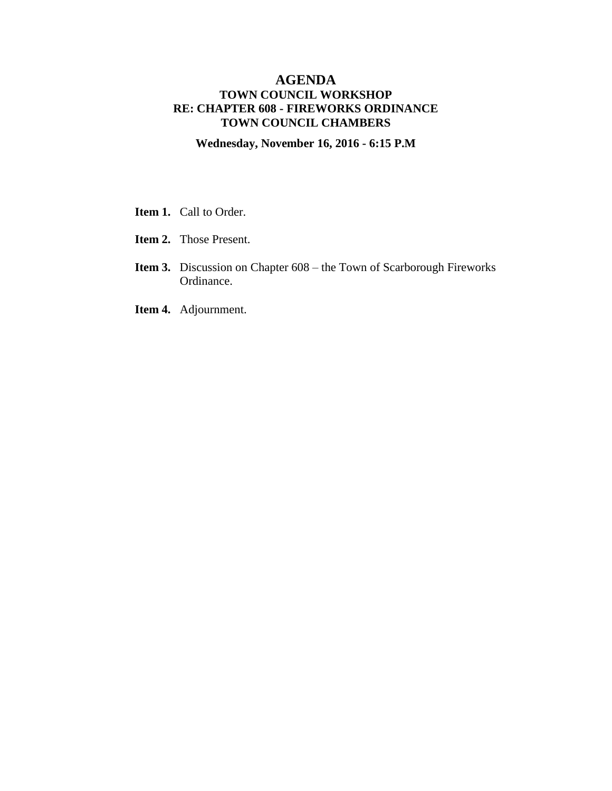## **AGENDA TOWN COUNCIL WORKSHOP RE: CHAPTER 608 - FIREWORKS ORDINANCE TOWN COUNCIL CHAMBERS**

**Wednesday, November 16, 2016 - 6:15 P.M**

- **Item 1.** Call to Order.
- **Item 2.** Those Present.
- **Item 3.** Discussion on Chapter 608 the Town of Scarborough Fireworks Ordinance.
- **Item 4.** Adjournment.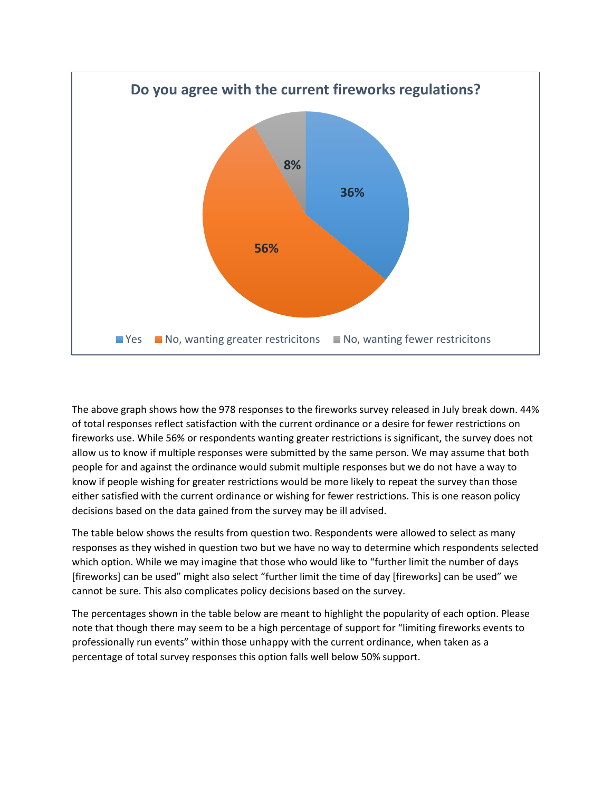

The above graph shows how the 978 responses to the fireworks survey released in July break down. 44% of total responses reflect satisfaction with the current ordinance or a desire for fewer restrictions on fireworks use. While 56% or respondents wanting greater restrictions is significant, the survey does not allow us to know if multiple responses were submitted by the same person. We may assume that both people for and against the ordinance would submit multiple responses but we do not have a way to know if people wishing for greater restrictions would be more likely to repeat the survey than those either satisfied with the current ordinance or wishing for fewer restrictions. This is one reason policy decisions based on the data gained from the survey may be ill advised.

The table below shows the results from question two. Respondents were allowed to select as many responses as they wished in question two but we have no way to determine which respondents selected which option. While we may imagine that those who would like to "further limit the number of days [fireworks] can be used" might also select "further limit the time of day [fireworks] can be used" we cannot be sure. This also complicates policy decisions based on the survey.

The percentages shown in the table below are meant to highlight the popularity of each option. Please note that though there may seem to be a high percentage of support for "limiting fireworks events to professionally run events" within those unhappy with the current ordinance, when taken as a percentage of total survey responses this option falls well below 50% support.